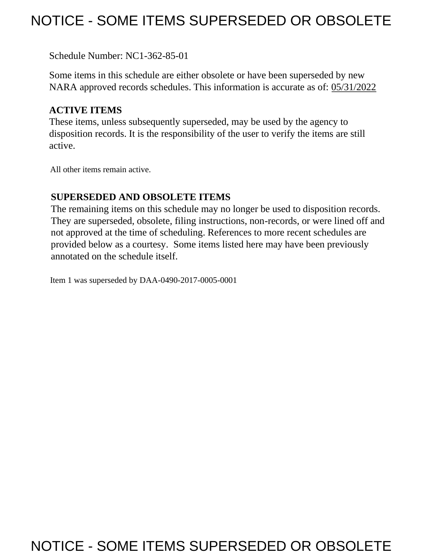## NOTICE - SOME ITEMS SUPERSEDED OR OBSOLETE

Schedule Number: NC1-362-85-01

Some items in this schedule are either obsolete or have been superseded by new NARA approved records schedules. This information is accurate as of: 05/31/2022

## **ACTIVE ITEMS**

These items, unless subsequently superseded, may be used by the agency to disposition records. It is the responsibility of the user to verify the items are still active.

All other items remain active.

## **SUPERSEDED AND OBSOLETE ITEMS**

The remaining items on this schedule may no longer be used to disposition records. They are superseded, obsolete, filing instructions, non-records, or were lined off and not approved at the time of scheduling. References to more recent schedules are provided below as a courtesy. Some items listed here may have been previously annotated on the schedule itself.

Item 1 was superseded by DAA-0490-2017-0005-0001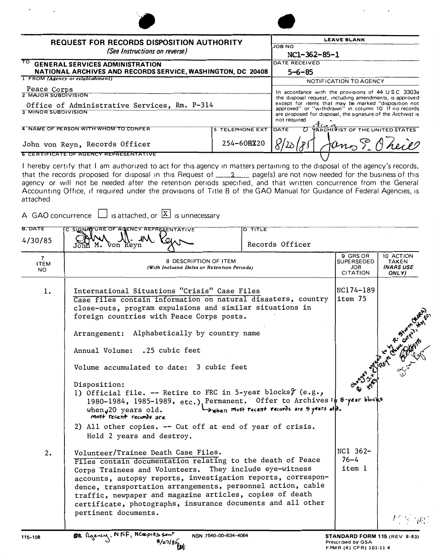| <b>REQUEST FOR RECORDS DISPOSITION AUTHORITY</b><br>(See Instructions on reverse)<br>TO.<br><b>GENERAL SERVICES ADMINISTRATION</b><br>NATIONAL ARCHIVES AND RECORDS SERVICE, WASHINGTON, DC 20408                                                                                   |                 | <b>LEAVE BLANK</b><br><b>JOB NO</b><br>NC1-362-85-1<br>DATE RECEIVED<br>$5 - 6 - 85$ |  |  |
|-------------------------------------------------------------------------------------------------------------------------------------------------------------------------------------------------------------------------------------------------------------------------------------|-----------------|--------------------------------------------------------------------------------------|--|--|
|                                                                                                                                                                                                                                                                                     |                 |                                                                                      |  |  |
| 4 NAME OF PERSON WITH WHOM TO CONFER                                                                                                                                                                                                                                                | 5 TELEPHONE EXT | <b>TARCHIVIST OF THE UNITED STATES</b><br>DATE                                       |  |  |
| John von Reyn, Records Officer                                                                                                                                                                                                                                                      | 254-60函220      | Jans E Oheil                                                                         |  |  |
| <b>6 CERTIFICATE OF AGENCY REPRESENTATIVE</b><br>$\bullet$ . The set of the set of the set of the set of the set of the set of the set of the set of the set of the set of the set of the set of the set of the set of the set of the set of the set of the set of the set of the s |                 |                                                                                      |  |  |

I hereby certify that I am authorized to act for this agency in matters pertaining to the disposal of the agency's records, that the records proposed for disposal in this Request of \_\_\_\_\_\_\_\_\_\_ page(s) are not now needed for the business of this agency or will not be needed after the retention periods specified, and that written concurrence from the General Accounting Office, if required under the provisions of Title 8 of the GAO Manual for Guidance of Federal Agencies, is attached

A GAO concurrence  $\Box$  is attached, or  $\boxed{\Sigma}$  is unnecessary

| <b>B. DATE</b><br>4/30/85         | C SIGNATURE OF AGENCY REPRESENTATIVE<br>von Reyn                                                                                                                                                                                                                                                                                                                                                                                                                                                                                                                                                                                                                         | <b>D TITLE</b><br>Records Officer         |                                                                             |                                          |
|-----------------------------------|--------------------------------------------------------------------------------------------------------------------------------------------------------------------------------------------------------------------------------------------------------------------------------------------------------------------------------------------------------------------------------------------------------------------------------------------------------------------------------------------------------------------------------------------------------------------------------------------------------------------------------------------------------------------------|-------------------------------------------|-----------------------------------------------------------------------------|------------------------------------------|
| $7^{\circ}$<br><b>ITEM</b><br>NO. | 8 DESCRIPTION OF ITEM<br>(With Inclusive Dates or Retention Periods)                                                                                                                                                                                                                                                                                                                                                                                                                                                                                                                                                                                                     |                                           | 9 GRS OR<br><b>SUPERSEDED</b><br><b>JOB</b><br><b>CITATION</b>              | 10 ACTION<br>TAKEN<br>(NARS USE<br>ONLY) |
| 1.                                | International Situations "Crisis" Case Files<br>Case files contain information on natural disasters, country<br>close-outs, program expulsions and similar situations in<br>foreign countries with Peace Corps posts.<br>Arrangement: Alphabetically by country name<br>Annual Volume: .25 cubic feet<br>Volume accumulated to date: 3 cubic feet<br>Disposition:<br>1) Official file. -- Retire to FRC in 5-year blocks $\mathcal{Y}(e.g.,$<br>1980-1984, 1985-1989, etc.), Permanent. Offer to Archives in 5-year blocks<br>when $J20$ years old.<br>most recent records are<br>2) All other copies. -- Cut off at end of year of crisis.<br>Hold 2 years and destroy. | When most recent records are 5 years off. | NC174-189<br> item 75                                                       |                                          |
| 2.                                | Volunteer/Trainee Death Case Files.<br>Files contain documentation relating to the death of Peace<br>Corps Trainees and Volunteers. They include eye-witness<br>accounts, autopsy reports, investigation reports, correspon-<br>dence, transportation arrangements, personnel action, cable<br>traffic, newpaper and magazine articles, copies of death<br>certificate, photographs, insurance documents and all other<br>pertinent documents.                                                                                                                                                                                                                           |                                           | NC1 362-<br>$76 - 4$<br>item 1                                              | 经原理                                      |
| 115-108                           | OR Agency, NNF, NCOPIES Sent<br>NSN 7540-00-634-4064                                                                                                                                                                                                                                                                                                                                                                                                                                                                                                                                                                                                                     |                                           | STANDARD FORM 115 (REV 8-83)<br>Prescribed by GSA<br>FPMR (41 CFR) 101-11 4 |                                          |